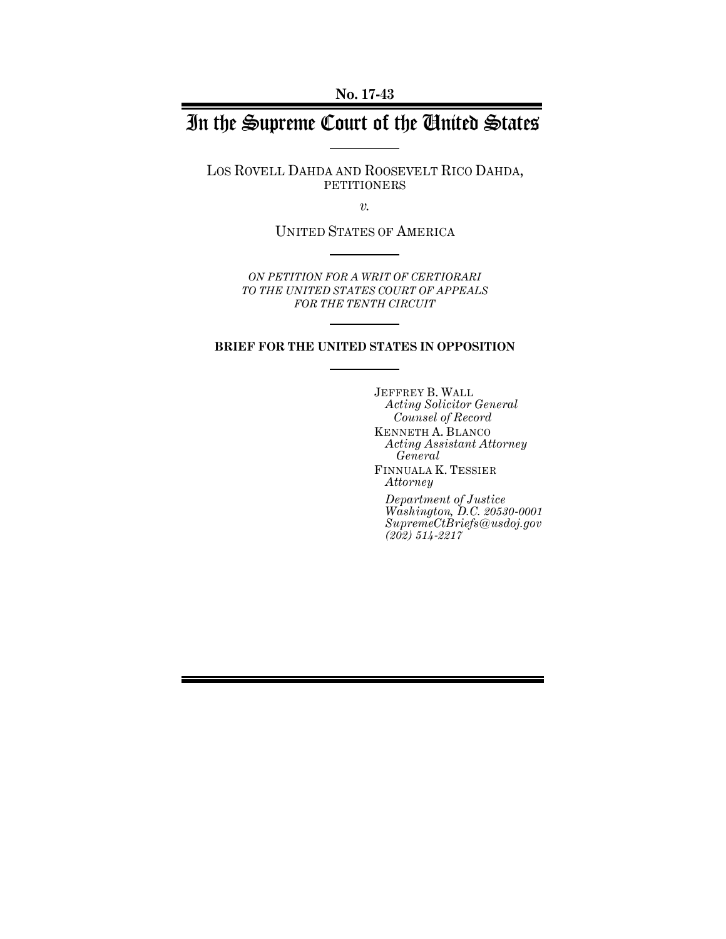**No. 17-43**

# In the Supreme Court of the United States

LOS ROVELL DAHDA AND ROOSEVELT RICO DAHDA, PETITIONERS

*v.*

UNITED STATES OF AMERICA

*ON PETITION FOR A WRIT OF CERTIORARI TO THE UNITED STATES COURT OF APPEALS FOR THE TENTH CIRCUIT*

#### **BRIEF FOR THE UNITED STATES IN OPPOSITION**

JEFFREY B. WALL *Acting Solicitor General Counsel of Record* KENNETH A. BLANCO *Acting Assistant Attorney General* FINNUALA K. TESSIER *Attorney*

*Department of Justice Washington, D.C. 20530-0001 SupremeCtBriefs@usdoj.gov (202) 514-2217*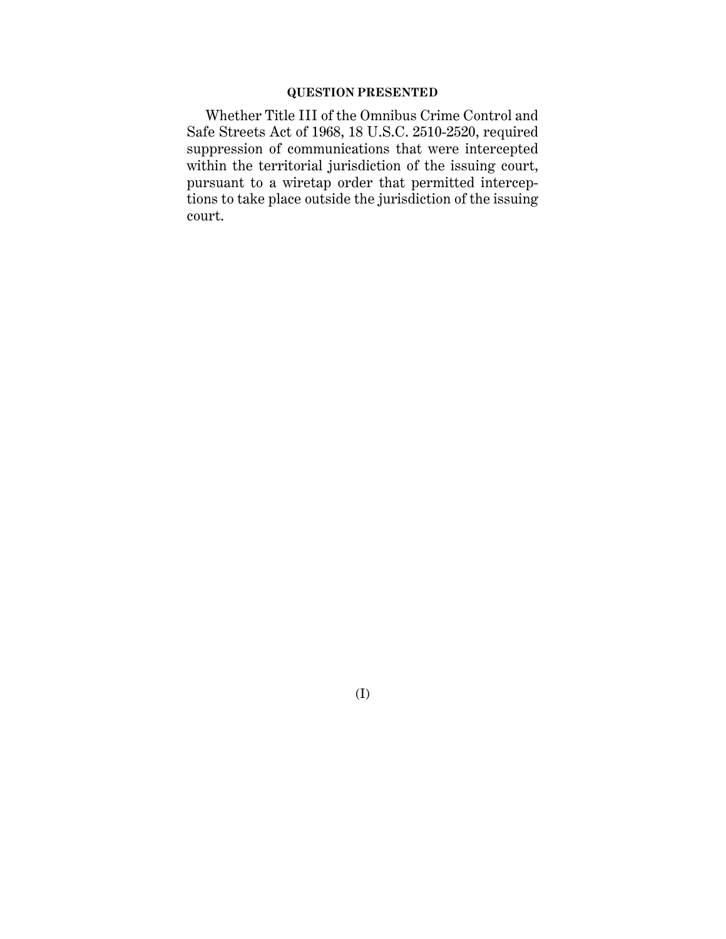### **QUESTION PRESENTED**

Whether Title III of the Omnibus Crime Control and Safe Streets Act of 1968, 18 U.S.C. 2510-2520, required suppression of communications that were intercepted within the territorial jurisdiction of the issuing court, pursuant to a wiretap order that permitted interceptions to take place outside the jurisdiction of the issuing court.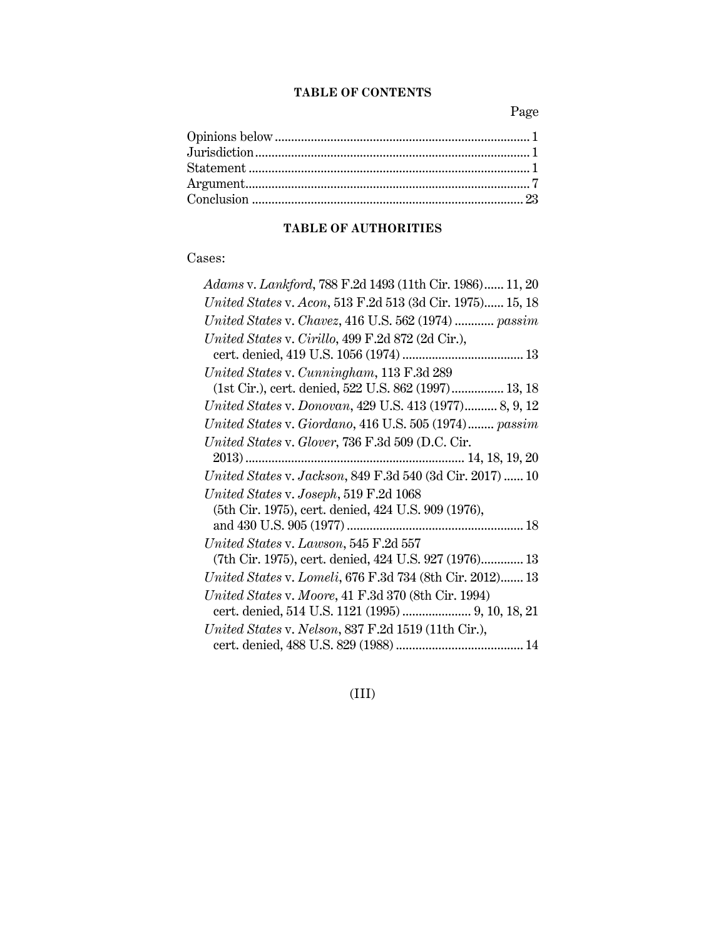### **TABLE OF CONTENTS**

Page

# **TABLE OF AUTHORITIES**

## Cases:

| Adams v. Lankford, 788 F.2d 1493 (11th Cir. 1986) 11, 20  |
|-----------------------------------------------------------|
| United States v. Acon, 513 F.2d 513 (3d Cir. 1975) 15, 18 |
| United States v. Chavez, 416 U.S. 562 (1974)  passim      |
| United States v. Cirillo, 499 F.2d 872 (2d Cir.),         |
|                                                           |
| United States v. Cunningham, 113 F.3d 289                 |
| (1st Cir.), cert. denied, 522 U.S. 862 (1997) 13, 18      |
| United States v. Donovan, 429 U.S. 413 (1977) 8, 9, 12    |
| United States v. Giordano, 416 U.S. 505 (1974) passim     |
| United States v. Glover, 736 F.3d 509 (D.C. Cir.          |
|                                                           |
| United States v. Jackson, 849 F.3d 540 (3d Cir. 2017)  10 |
| United States v. Joseph, 519 F.2d 1068                    |
| (5th Cir. 1975), cert. denied, 424 U.S. 909 (1976),       |
|                                                           |
| United States v. Lawson, 545 F.2d 557                     |
| (7th Cir. 1975), cert. denied, 424 U.S. 927 (1976) 13     |
| United States v. Lomeli, 676 F.3d 734 (8th Cir. 2012) 13  |
| United States v. Moore, 41 F.3d 370 (8th Cir. 1994)       |
|                                                           |
| United States v. Nelson, 837 F.2d 1519 (11th Cir.),       |
|                                                           |

(III)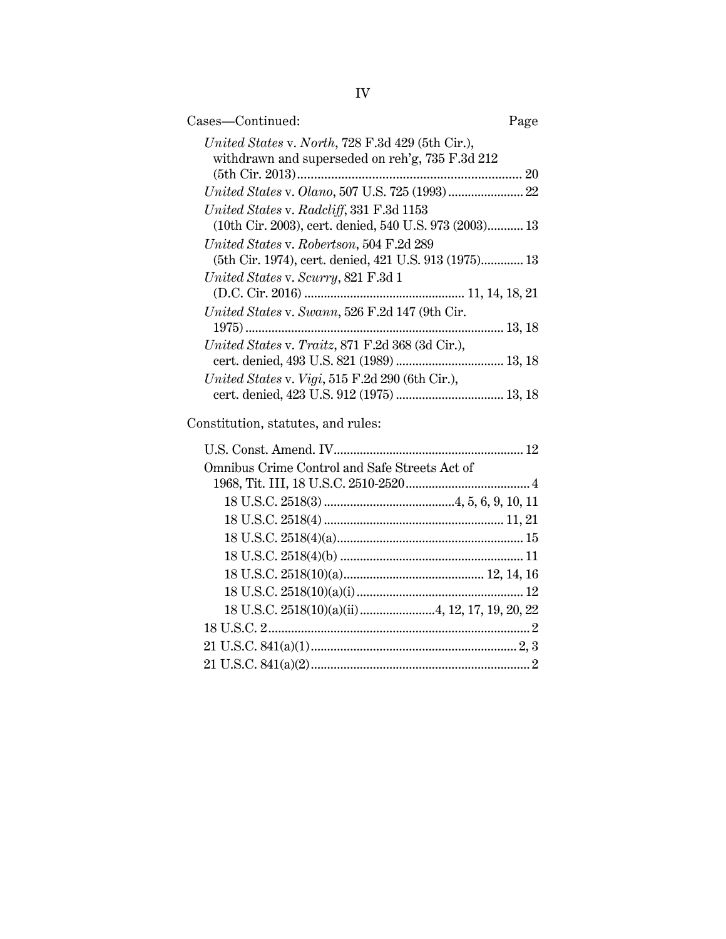| Cases-Continued:                                                                                    | Page |
|-----------------------------------------------------------------------------------------------------|------|
| United States v. North, 728 F.3d 429 (5th Cir.),<br>withdrawn and superseded on reh'g, 735 F.3d 212 |      |
|                                                                                                     |      |
| $United\ States\ v.\ Olano, 507\ U.S.\ 725\ (1993)22$                                               |      |
| United States v. Radcliff, 331 F.3d 1153<br>(10th Cir. 2003), cert. denied, 540 U.S. 973 (2003) 13  |      |
| United States v. Robertson, 504 F.2d 289                                                            |      |
| (5th Cir. 1974), cert. denied, 421 U.S. 913 (1975) 13                                               |      |
| United States v. Scurry, 821 F.3d 1                                                                 |      |
|                                                                                                     |      |
| United States v. Swann, 526 F.2d 147 (9th Cir.                                                      |      |
|                                                                                                     |      |
| United States v. Traitz, 871 F.2d 368 (3d Cir.),                                                    |      |
| United States v. Vigi, 515 F.2d 290 (6th Cir.),                                                     |      |
| cert. denied, 423 U.S. 912 (1975)  13, 18                                                           |      |
| Constitution, statutes, and rules:                                                                  |      |
|                                                                                                     |      |
| Omnibus Crime Control and Safe Streets Act of                                                       |      |
|                                                                                                     |      |
|                                                                                                     |      |
|                                                                                                     |      |
|                                                                                                     |      |
|                                                                                                     |      |
|                                                                                                     |      |

18 U.S.C. 2518(10)(a)(i)................................................... 12 18 U.S.C. 2518(10)(a)(ii).......................4, 12, 17, 19, 20, 22 18 U.S.C. 2................................................................................ 2 21 U.S.C. 841(a)(1)............................................................... 2, 3 21 U.S.C. 841(a)(2)................................................................... 2

IV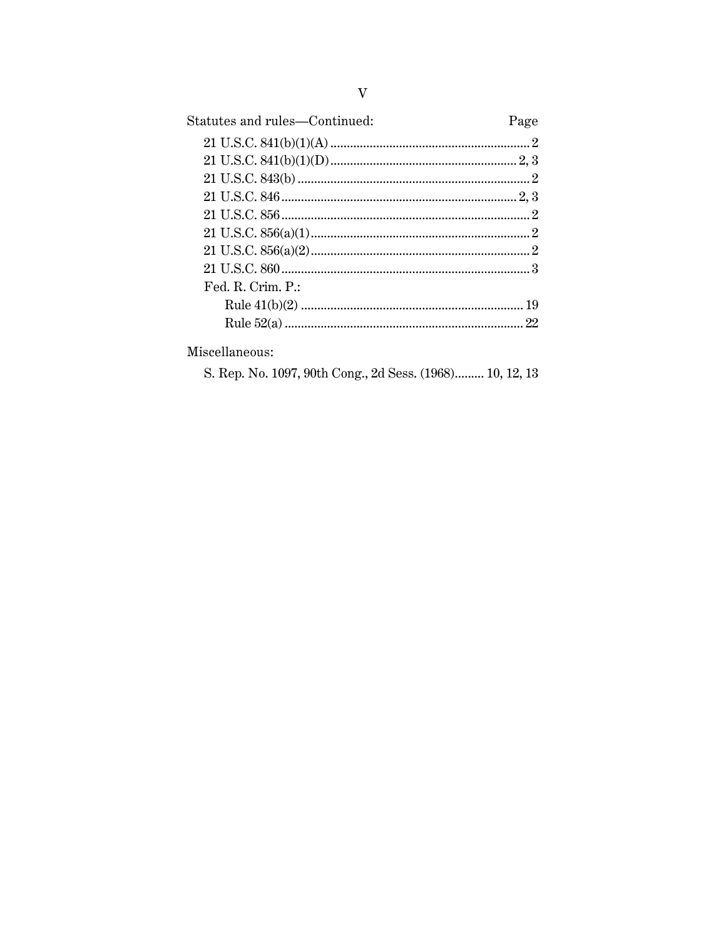| Statutes and rules—Continued: | Page |
|-------------------------------|------|
|                               |      |
|                               |      |
|                               |      |
|                               |      |
|                               |      |
|                               |      |
|                               |      |
|                               |      |
| Fd. R. Crim. P.               |      |
|                               |      |
|                               |      |

S. Rep. No. 1097, 90th Cong., 2d Sess. (1968)......... 10, 12, 13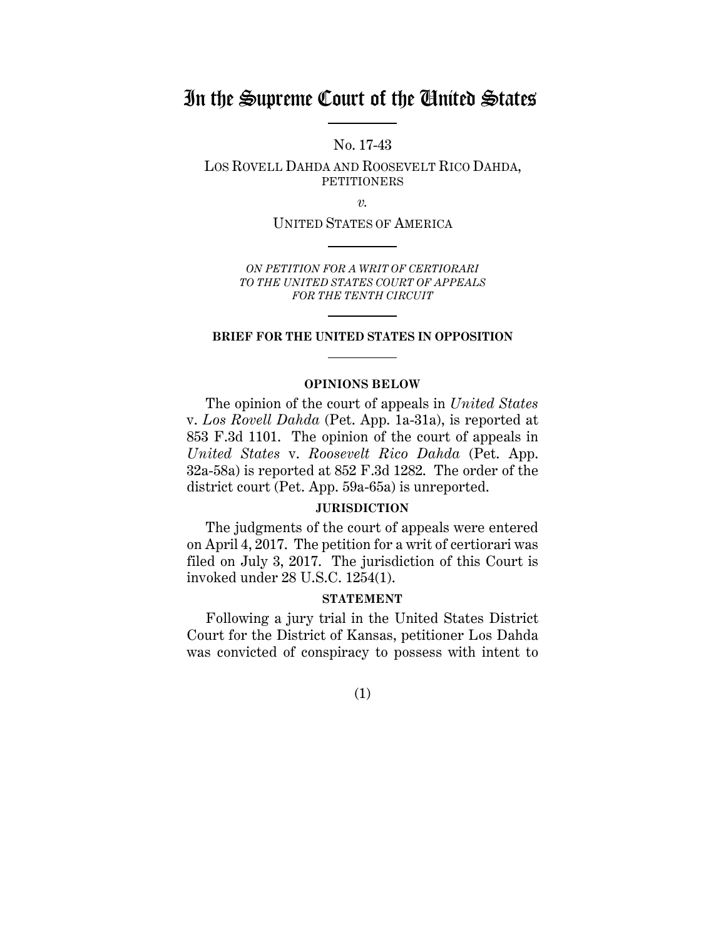# In the Supreme Court of the United States

No. 17-43

LOS ROVELL DAHDA AND ROOSEVELT RICO DAHDA, PETITIONERS

*v.*

UNITED STATES OF AMERICA

*ON PETITION FOR A WRIT OF CERTIORARI TO THE UNITED STATES COURT OF APPEALS FOR THE TENTH CIRCUIT*

#### **BRIEF FOR THE UNITED STATES IN OPPOSITION**

#### **OPINIONS BELOW**

The opinion of the court of appeals in *United States* v. *Los Rovell Dahda* (Pet. App. 1a-31a), is reported at 853 F.3d 1101. The opinion of the court of appeals in *United States* v. *Roosevelt Rico Dahda* (Pet. App. 32a-58a) is reported at 852 F.3d 1282. The order of the district court (Pet. App. 59a-65a) is unreported.

#### **JURISDICTION**

The judgments of the court of appeals were entered on April 4, 2017. The petition for a writ of certiorari was filed on July 3, 2017. The jurisdiction of this Court is invoked under 28 U.S.C. 1254(1).

#### **STATEMENT**

Following a jury trial in the United States District Court for the District of Kansas, petitioner Los Dahda was convicted of conspiracy to possess with intent to

(1)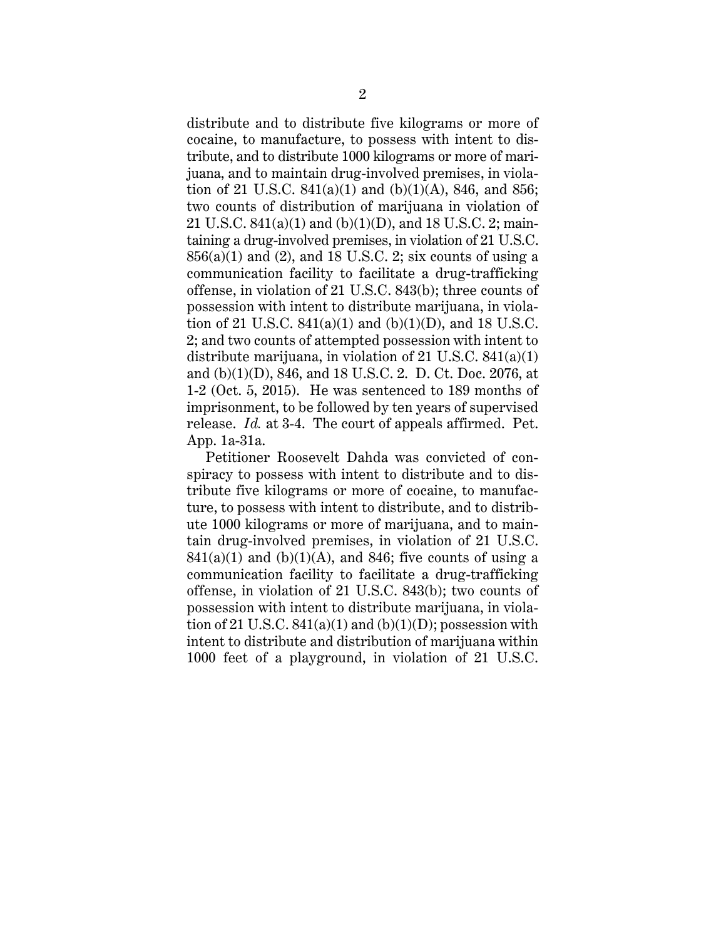distribute and to distribute five kilograms or more of cocaine, to manufacture, to possess with intent to distribute, and to distribute 1000 kilograms or more of marijuana, and to maintain drug-involved premises, in violation of 21 U.S.C.  $841(a)(1)$  and  $(b)(1)(A)$ ,  $846$ , and  $856$ ; two counts of distribution of marijuana in violation of 21 U.S.C. 841(a)(1) and (b)(1)(D), and 18 U.S.C. 2; maintaining a drug-involved premises, in violation of 21 U.S.C.  $856(a)(1)$  and  $(2)$ , and 18 U.S.C. 2; six counts of using a communication facility to facilitate a drug-trafficking offense, in violation of 21 U.S.C. 843(b); three counts of possession with intent to distribute marijuana, in violation of 21 U.S.C.  $841(a)(1)$  and  $(b)(1)(D)$ , and 18 U.S.C. 2; and two counts of attempted possession with intent to distribute marijuana, in violation of 21 U.S.C. 841(a)(1) and (b)(1)(D), 846, and 18 U.S.C. 2. D. Ct. Doc. 2076, at 1-2 (Oct. 5, 2015). He was sentenced to 189 months of imprisonment, to be followed by ten years of supervised release. *Id.* at 3-4. The court of appeals affirmed. Pet. App. 1a-31a.

Petitioner Roosevelt Dahda was convicted of conspiracy to possess with intent to distribute and to distribute five kilograms or more of cocaine, to manufacture, to possess with intent to distribute, and to distribute 1000 kilograms or more of marijuana, and to maintain drug-involved premises, in violation of 21 U.S.C.  $841(a)(1)$  and  $(b)(1)(A)$ , and  $846$ ; five counts of using a communication facility to facilitate a drug-trafficking offense, in violation of 21 U.S.C. 843(b); two counts of possession with intent to distribute marijuana, in violation of 21 U.S.C.  $841(a)(1)$  and  $(b)(1)(D)$ ; possession with intent to distribute and distribution of marijuana within 1000 feet of a playground, in violation of 21 U.S.C.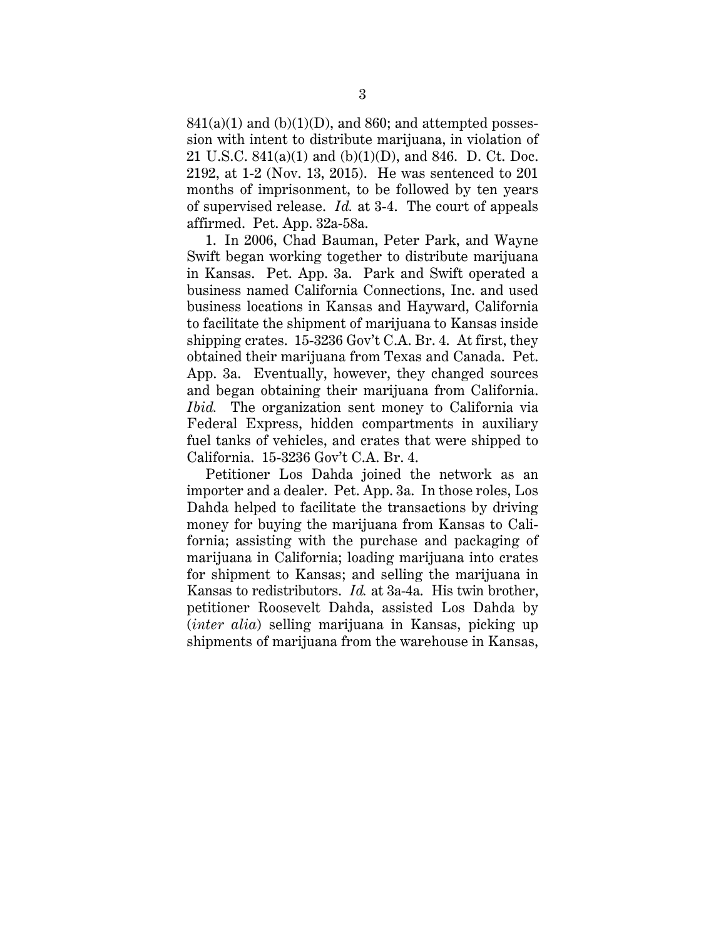$841(a)(1)$  and  $(b)(1)(D)$ , and  $860$ ; and attempted possession with intent to distribute marijuana, in violation of 21 U.S.C. 841(a)(1) and (b)(1)(D), and 846. D. Ct. Doc. 2192, at 1-2 (Nov. 13, 2015). He was sentenced to 201 months of imprisonment, to be followed by ten years of supervised release. *Id.* at 3-4. The court of appeals affirmed. Pet. App. 32a-58a.

1. In 2006, Chad Bauman, Peter Park, and Wayne Swift began working together to distribute marijuana in Kansas. Pet. App. 3a. Park and Swift operated a business named California Connections, Inc. and used business locations in Kansas and Hayward, California to facilitate the shipment of marijuana to Kansas inside shipping crates. 15-3236 Gov't C.A. Br. 4. At first, they obtained their marijuana from Texas and Canada. Pet. App. 3a. Eventually, however, they changed sources and began obtaining their marijuana from California. *Ibid.* The organization sent money to California via Federal Express, hidden compartments in auxiliary fuel tanks of vehicles, and crates that were shipped to California. 15-3236 Gov't C.A. Br. 4.

Petitioner Los Dahda joined the network as an importer and a dealer. Pet. App. 3a. In those roles, Los Dahda helped to facilitate the transactions by driving money for buying the marijuana from Kansas to California; assisting with the purchase and packaging of marijuana in California; loading marijuana into crates for shipment to Kansas; and selling the marijuana in Kansas to redistributors. *Id.* at 3a-4a. His twin brother, petitioner Roosevelt Dahda, assisted Los Dahda by (*inter alia*) selling marijuana in Kansas, picking up shipments of marijuana from the warehouse in Kansas,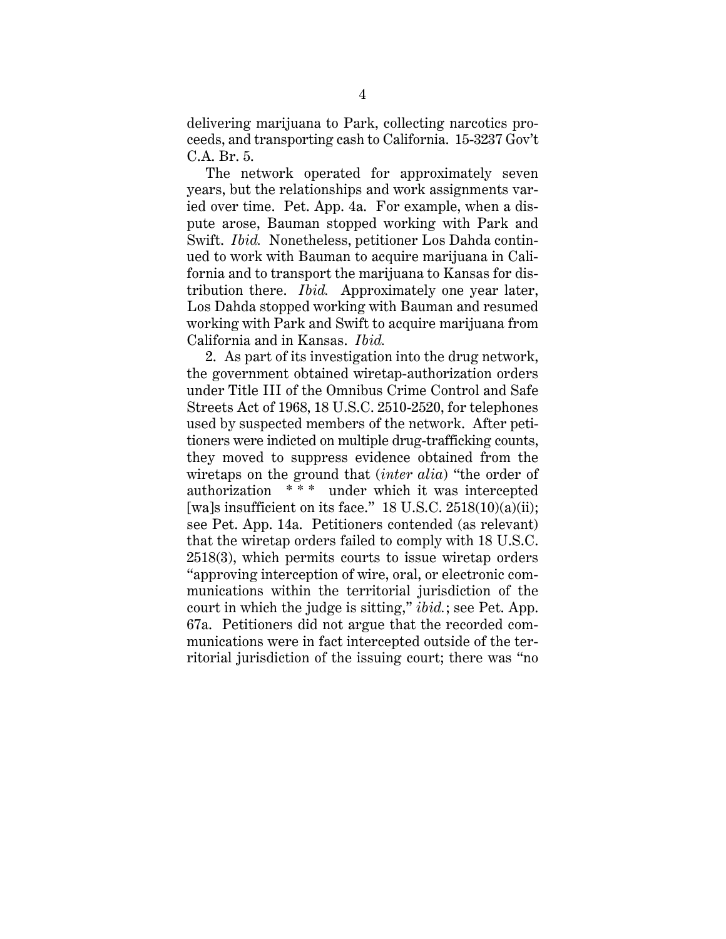delivering marijuana to Park, collecting narcotics proceeds, and transporting cash to California. 15-3237 Gov't C.A. Br. 5.

The network operated for approximately seven years, but the relationships and work assignments varied over time. Pet. App. 4a. For example, when a dispute arose, Bauman stopped working with Park and Swift. *Ibid.* Nonetheless, petitioner Los Dahda continued to work with Bauman to acquire marijuana in California and to transport the marijuana to Kansas for distribution there. *Ibid.* Approximately one year later, Los Dahda stopped working with Bauman and resumed working with Park and Swift to acquire marijuana from California and in Kansas. *Ibid.*

2. As part of its investigation into the drug network, the government obtained wiretap-authorization orders under Title III of the Omnibus Crime Control and Safe Streets Act of 1968, 18 U.S.C. 2510-2520, for telephones used by suspected members of the network. After petitioners were indicted on multiple drug-trafficking counts, they moved to suppress evidence obtained from the wiretaps on the ground that (*inter alia*) "the order of authorization \* \* \* under which it was intercepted [wa]s insufficient on its face."  $18$  U.S.C.  $2518(10)(a)(ii)$ ; see Pet. App. 14a. Petitioners contended (as relevant) that the wiretap orders failed to comply with 18 U.S.C. 2518(3), which permits courts to issue wiretap orders "approving interception of wire, oral, or electronic communications within the territorial jurisdiction of the court in which the judge is sitting," *ibid.*; see Pet. App. 67a. Petitioners did not argue that the recorded communications were in fact intercepted outside of the territorial jurisdiction of the issuing court; there was "no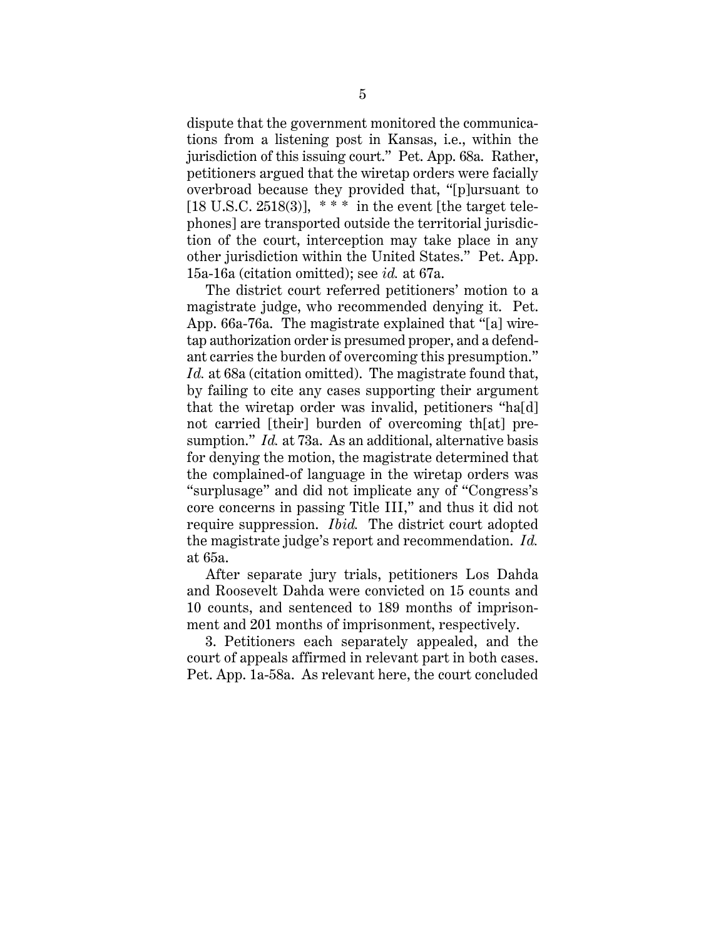dispute that the government monitored the communications from a listening post in Kansas, i.e., within the jurisdiction of this issuing court." Pet. App. 68a. Rather, petitioners argued that the wiretap orders were facially overbroad because they provided that, "[p]ursuant to [18 U.S.C. 2518(3)],  $***$  in the event [the target telephones] are transported outside the territorial jurisdiction of the court, interception may take place in any other jurisdiction within the United States." Pet. App. 15a-16a (citation omitted); see *id.* at 67a.

The district court referred petitioners' motion to a magistrate judge, who recommended denying it. Pet. App. 66a-76a. The magistrate explained that "[a] wiretap authorization order is presumed proper, and a defendant carries the burden of overcoming this presumption." *Id.* at 68a (citation omitted). The magistrate found that, by failing to cite any cases supporting their argument that the wiretap order was invalid, petitioners "ha[d] not carried [their] burden of overcoming th[at] presumption." *Id.* at 73a. As an additional, alternative basis for denying the motion, the magistrate determined that the complained-of language in the wiretap orders was "surplusage" and did not implicate any of "Congress's core concerns in passing Title III," and thus it did not require suppression. *Ibid.* The district court adopted the magistrate judge's report and recommendation. *Id.*  at 65a.

After separate jury trials, petitioners Los Dahda and Roosevelt Dahda were convicted on 15 counts and 10 counts, and sentenced to 189 months of imprisonment and 201 months of imprisonment, respectively.

3. Petitioners each separately appealed, and the court of appeals affirmed in relevant part in both cases. Pet. App. 1a-58a. As relevant here, the court concluded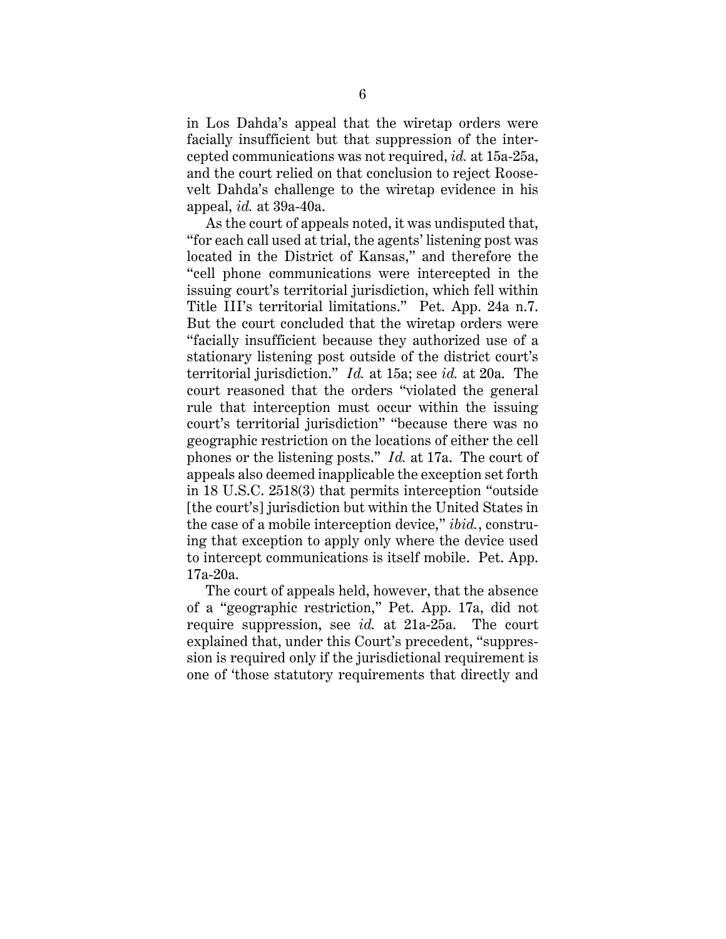in Los Dahda's appeal that the wiretap orders were facially insufficient but that suppression of the intercepted communications was not required, *id.* at 15a-25a, and the court relied on that conclusion to reject Roosevelt Dahda's challenge to the wiretap evidence in his appeal, *id.* at 39a-40a.

As the court of appeals noted, it was undisputed that, "for each call used at trial, the agents' listening post was located in the District of Kansas," and therefore the "cell phone communications were intercepted in the issuing court's territorial jurisdiction, which fell within Title III's territorial limitations." Pet. App. 24a n.7. But the court concluded that the wiretap orders were "facially insufficient because they authorized use of a stationary listening post outside of the district court's territorial jurisdiction." *Id.* at 15a; see *id.* at 20a. The court reasoned that the orders "violated the general rule that interception must occur within the issuing court's territorial jurisdiction" "because there was no geographic restriction on the locations of either the cell phones or the listening posts." *Id.* at 17a. The court of appeals also deemed inapplicable the exception set forth in 18 U.S.C. 2518(3) that permits interception "outside [the court's] jurisdiction but within the United States in the case of a mobile interception device," *ibid.*, construing that exception to apply only where the device used to intercept communications is itself mobile. Pet. App. 17a-20a.

The court of appeals held, however, that the absence of a "geographic restriction," Pet. App. 17a, did not require suppression, see *id.* at 21a-25a. The court explained that, under this Court's precedent, "suppression is required only if the jurisdictional requirement is one of 'those statutory requirements that directly and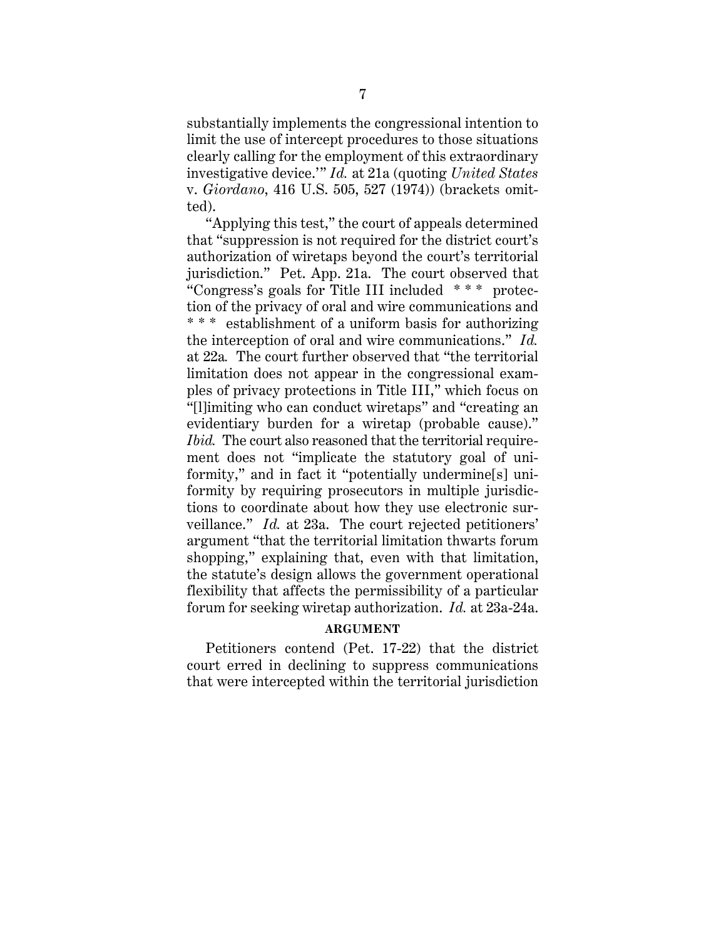substantially implements the congressional intention to limit the use of intercept procedures to those situations clearly calling for the employment of this extraordinary investigative device.'" *Id.* at 21a (quoting *United States* v. *Giordano*, 416 U.S. 505, 527 (1974)) (brackets omitted).

"Applying this test," the court of appeals determined that "suppression is not required for the district court's authorization of wiretaps beyond the court's territorial jurisdiction." Pet. App. 21a. The court observed that "Congress's goals for Title III included \* \* \* protection of the privacy of oral and wire communications and \* \* \* establishment of a uniform basis for authorizing the interception of oral and wire communications." *Id.* at 22a*.* The court further observed that "the territorial limitation does not appear in the congressional examples of privacy protections in Title III," which focus on "[l]imiting who can conduct wiretaps" and "creating an evidentiary burden for a wiretap (probable cause)." *Ibid.* The court also reasoned that the territorial requirement does not "implicate the statutory goal of uniformity," and in fact it "potentially undermine[s] uniformity by requiring prosecutors in multiple jurisdictions to coordinate about how they use electronic surveillance." *Id.* at 23a. The court rejected petitioners' argument "that the territorial limitation thwarts forum shopping," explaining that, even with that limitation, the statute's design allows the government operational flexibility that affects the permissibility of a particular forum for seeking wiretap authorization. *Id.* at 23a-24a.

#### **ARGUMENT**

Petitioners contend (Pet. 17-22) that the district court erred in declining to suppress communications that were intercepted within the territorial jurisdiction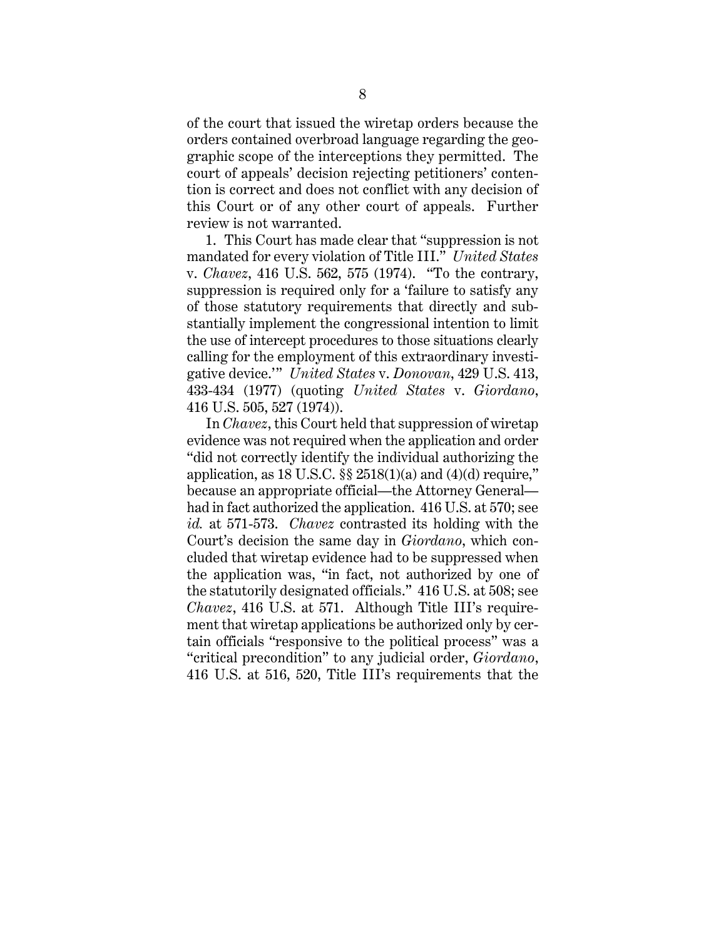of the court that issued the wiretap orders because the orders contained overbroad language regarding the geographic scope of the interceptions they permitted. The court of appeals' decision rejecting petitioners' contention is correct and does not conflict with any decision of this Court or of any other court of appeals. Further review is not warranted.

1. This Court has made clear that "suppression is not mandated for every violation of Title III." *United States* v. *Chavez*, 416 U.S. 562, 575 (1974). "To the contrary, suppression is required only for a 'failure to satisfy any of those statutory requirements that directly and substantially implement the congressional intention to limit the use of intercept procedures to those situations clearly calling for the employment of this extraordinary investigative device.'" *United States* v. *Donovan*, 429 U.S. 413, 433-434 (1977) (quoting *United States* v. *Giordano*, 416 U.S. 505, 527 (1974)).

In *Chavez*, this Court held that suppression of wiretap evidence was not required when the application and order "did not correctly identify the individual authorizing the application, as 18 U.S.C.  $\S$   $2518(1)(a)$  and  $(4)(d)$  require," because an appropriate official—the Attorney General had in fact authorized the application. 416 U.S. at 570; see *id.* at 571-573. *Chavez* contrasted its holding with the Court's decision the same day in *Giordano*, which concluded that wiretap evidence had to be suppressed when the application was, "in fact, not authorized by one of the statutorily designated officials." 416 U.S. at 508; see *Chavez*, 416 U.S. at 571. Although Title III's requirement that wiretap applications be authorized only by certain officials "responsive to the political process" was a "critical precondition" to any judicial order, *Giordano*, 416 U.S. at 516, 520, Title III's requirements that the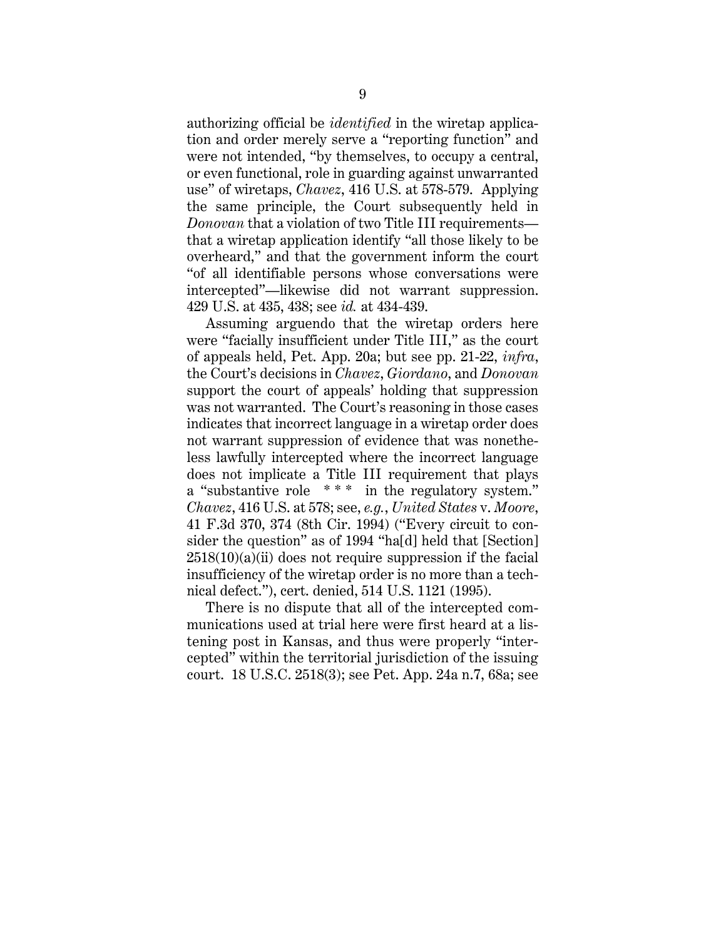authorizing official be *identified* in the wiretap application and order merely serve a "reporting function" and were not intended, "by themselves, to occupy a central, or even functional, role in guarding against unwarranted use" of wiretaps, *Chavez*, 416 U.S. at 578-579. Applying the same principle, the Court subsequently held in *Donovan* that a violation of two Title III requirements that a wiretap application identify "all those likely to be overheard," and that the government inform the court "of all identifiable persons whose conversations were intercepted"—likewise did not warrant suppression. 429 U.S. at 435, 438; see *id.* at 434-439.

Assuming arguendo that the wiretap orders here were "facially insufficient under Title III," as the court of appeals held, Pet. App. 20a; but see pp. 21-22, *infra*, the Court's decisions in *Chavez*, *Giordano*, and *Donovan* support the court of appeals' holding that suppression was not warranted. The Court's reasoning in those cases indicates that incorrect language in a wiretap order does not warrant suppression of evidence that was nonetheless lawfully intercepted where the incorrect language does not implicate a Title III requirement that plays a "substantive role \*\*\* in the regulatory system." *Chavez*, 416 U.S. at 578; see, *e.g.*, *United States* v. *Moore*, 41 F.3d 370, 374 (8th Cir. 1994) ("Every circuit to consider the question" as of 1994 "ha[d] held that [Section]  $2518(10)(a)(ii)$  does not require suppression if the facial insufficiency of the wiretap order is no more than a technical defect."), cert. denied, 514 U.S. 1121 (1995).

There is no dispute that all of the intercepted communications used at trial here were first heard at a listening post in Kansas, and thus were properly "intercepted" within the territorial jurisdiction of the issuing court. 18 U.S.C. 2518(3); see Pet. App. 24a n.7, 68a; see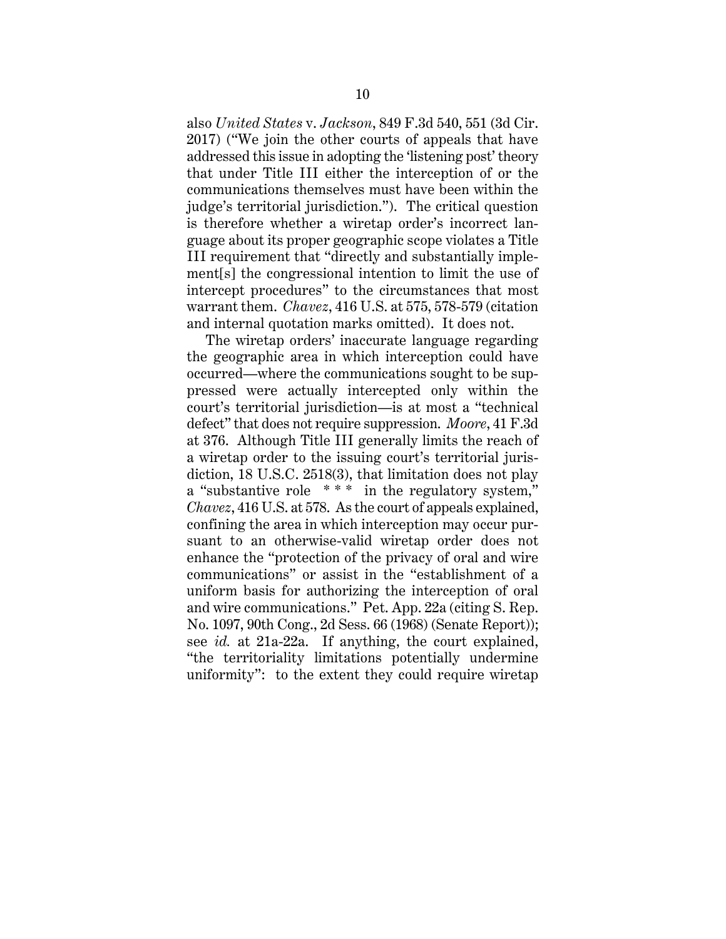also *United States* v. *Jackson*, 849 F.3d 540, 551 (3d Cir. 2017) ("We join the other courts of appeals that have addressed this issue in adopting the 'listening post' theory that under Title III either the interception of or the communications themselves must have been within the judge's territorial jurisdiction."). The critical question is therefore whether a wiretap order's incorrect language about its proper geographic scope violates a Title III requirement that "directly and substantially implement[s] the congressional intention to limit the use of intercept procedures" to the circumstances that most warrant them. *Chavez*, 416 U.S. at 575, 578-579 (citation and internal quotation marks omitted). It does not.

The wiretap orders' inaccurate language regarding the geographic area in which interception could have occurred—where the communications sought to be suppressed were actually intercepted only within the court's territorial jurisdiction—is at most a "technical defect" that does not require suppression. *Moore*, 41 F.3d at 376. Although Title III generally limits the reach of a wiretap order to the issuing court's territorial jurisdiction, 18 U.S.C. 2518(3), that limitation does not play a "substantive role \*\*\* in the regulatory system," *Chavez*, 416 U.S. at 578. As the court of appeals explained, confining the area in which interception may occur pursuant to an otherwise-valid wiretap order does not enhance the "protection of the privacy of oral and wire communications" or assist in the "establishment of a uniform basis for authorizing the interception of oral and wire communications." Pet. App. 22a (citing S. Rep. No. 1097, 90th Cong., 2d Sess. 66 (1968) (Senate Report)); see *id.* at 21a-22a. If anything, the court explained, "the territoriality limitations potentially undermine uniformity": to the extent they could require wiretap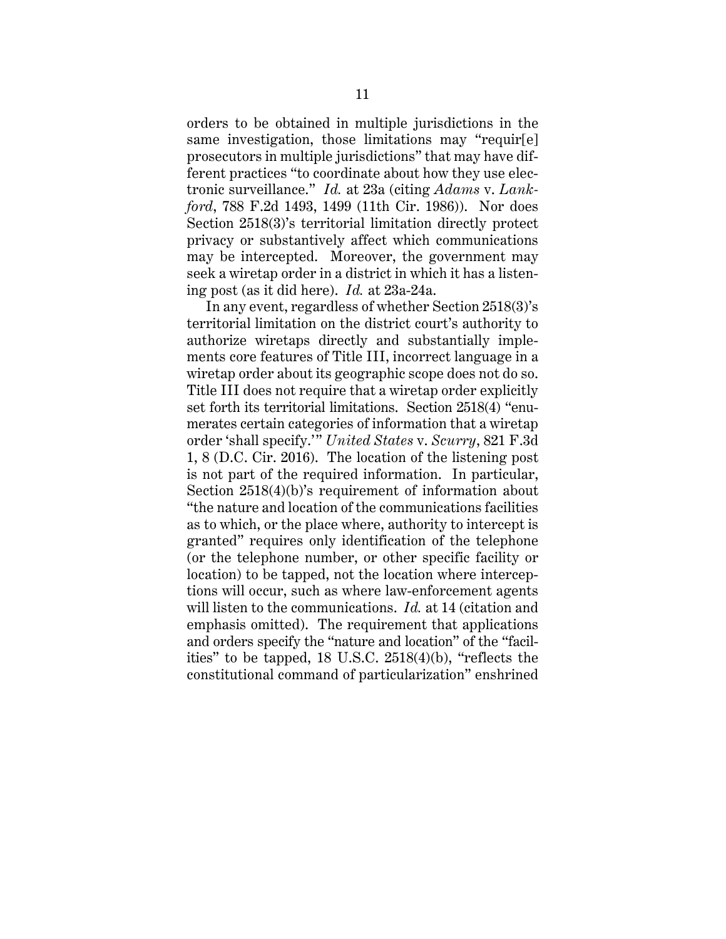orders to be obtained in multiple jurisdictions in the same investigation, those limitations may "requir[e] prosecutors in multiple jurisdictions" that may have different practices "to coordinate about how they use electronic surveillance." *Id.* at 23a (citing *Adams* v. *Lankford*, 788 F.2d 1493, 1499 (11th Cir. 1986)). Nor does Section 2518(3)'s territorial limitation directly protect privacy or substantively affect which communications may be intercepted. Moreover, the government may seek a wiretap order in a district in which it has a listening post (as it did here). *Id.* at 23a-24a.

In any event, regardless of whether Section 2518(3)'s territorial limitation on the district court's authority to authorize wiretaps directly and substantially implements core features of Title III, incorrect language in a wiretap order about its geographic scope does not do so. Title III does not require that a wiretap order explicitly set forth its territorial limitations. Section 2518(4) "enumerates certain categories of information that a wiretap order 'shall specify.'" *United States* v. *Scurry*, 821 F.3d 1, 8 (D.C. Cir. 2016). The location of the listening post is not part of the required information. In particular, Section 2518(4)(b)'s requirement of information about "the nature and location of the communications facilities as to which, or the place where, authority to intercept is granted" requires only identification of the telephone (or the telephone number, or other specific facility or location) to be tapped, not the location where interceptions will occur, such as where law-enforcement agents will listen to the communications. *Id.* at 14 (citation and emphasis omitted). The requirement that applications and orders specify the "nature and location" of the "facilities" to be tapped, 18 U.S.C. 2518(4)(b), "reflects the constitutional command of particularization" enshrined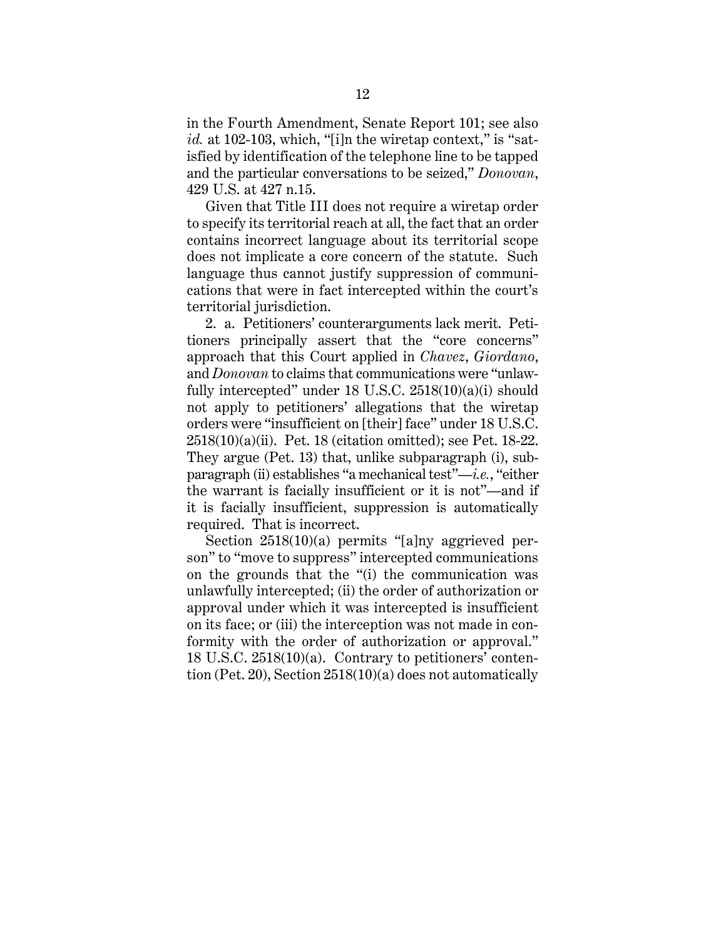in the Fourth Amendment, Senate Report 101; see also *id.* at 102-103, which, "[i]n the wiretap context," is "satisfied by identification of the telephone line to be tapped and the particular conversations to be seized," *Donovan*, 429 U.S. at 427 n.15.

Given that Title III does not require a wiretap order to specify its territorial reach at all, the fact that an order contains incorrect language about its territorial scope does not implicate a core concern of the statute. Such language thus cannot justify suppression of communications that were in fact intercepted within the court's territorial jurisdiction.

2. a. Petitioners' counterarguments lack merit. Petitioners principally assert that the "core concerns" approach that this Court applied in *Chavez*, *Giordano*, and *Donovan* to claims that communications were "unlawfully intercepted" under 18 U.S.C. 2518(10)(a)(i) should not apply to petitioners' allegations that the wiretap orders were "insufficient on [their] face" under 18 U.S.C. 2518(10)(a)(ii). Pet. 18 (citation omitted); see Pet. 18-22. They argue (Pet. 13) that, unlike subparagraph (i), subparagraph (ii) establishes "a mechanical test"—*i.e.*, "either the warrant is facially insufficient or it is not"—and if it is facially insufficient, suppression is automatically required. That is incorrect.

Section 2518(10)(a) permits "[a]ny aggrieved person" to "move to suppress" intercepted communications on the grounds that the "(i) the communication was unlawfully intercepted; (ii) the order of authorization or approval under which it was intercepted is insufficient on its face; or (iii) the interception was not made in conformity with the order of authorization or approval." 18 U.S.C. 2518(10)(a). Contrary to petitioners' contention (Pet. 20), Section 2518(10)(a) does not automatically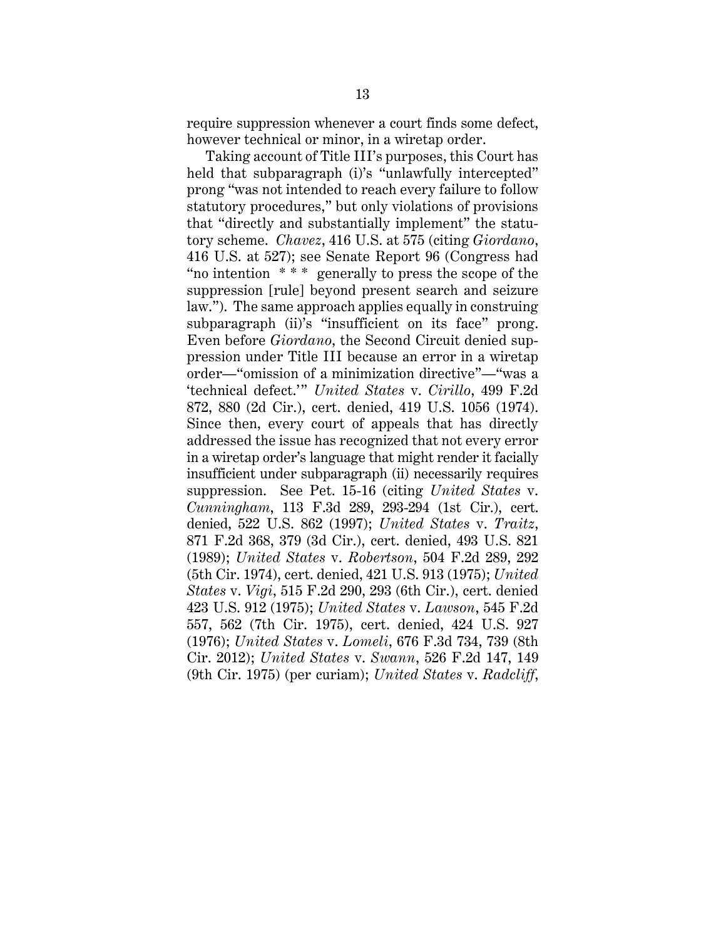require suppression whenever a court finds some defect, however technical or minor, in a wiretap order.

Taking account of Title III's purposes, this Court has held that subparagraph (i)'s "unlawfully intercepted" prong "was not intended to reach every failure to follow statutory procedures," but only violations of provisions that "directly and substantially implement" the statutory scheme. *Chavez*, 416 U.S. at 575 (citing *Giordano*, 416 U.S. at 527); see Senate Report 96 (Congress had "no intention \* \* \* generally to press the scope of the suppression [rule] beyond present search and seizure law."). The same approach applies equally in construing subparagraph (ii)'s "insufficient on its face" prong. Even before *Giordano*, the Second Circuit denied suppression under Title III because an error in a wiretap order—"omission of a minimization directive"—"was a 'technical defect.'" *United States* v. *Cirillo*, 499 F.2d 872, 880 (2d Cir.), cert. denied, 419 U.S. 1056 (1974). Since then, every court of appeals that has directly addressed the issue has recognized that not every error in a wiretap order's language that might render it facially insufficient under subparagraph (ii) necessarily requires suppression. See Pet. 15-16 (citing *United States* v. *Cunningham*, 113 F.3d 289, 293-294 (1st Cir.), cert. denied, 522 U.S. 862 (1997); *United States* v. *Traitz*, 871 F.2d 368, 379 (3d Cir.), cert. denied, 493 U.S. 821 (1989); *United States* v. *Robertson*, 504 F.2d 289, 292 (5th Cir. 1974), cert. denied, 421 U.S. 913 (1975); *United States* v. *Vigi*, 515 F.2d 290, 293 (6th Cir.), cert. denied 423 U.S. 912 (1975); *United States* v. *Lawson*, 545 F.2d 557, 562 (7th Cir. 1975), cert. denied, 424 U.S. 927 (1976); *United States* v. *Lomeli*, 676 F.3d 734, 739 (8th Cir. 2012); *United States* v. *Swann*, 526 F.2d 147, 149 (9th Cir. 1975) (per curiam); *United States* v. *Radcliff*,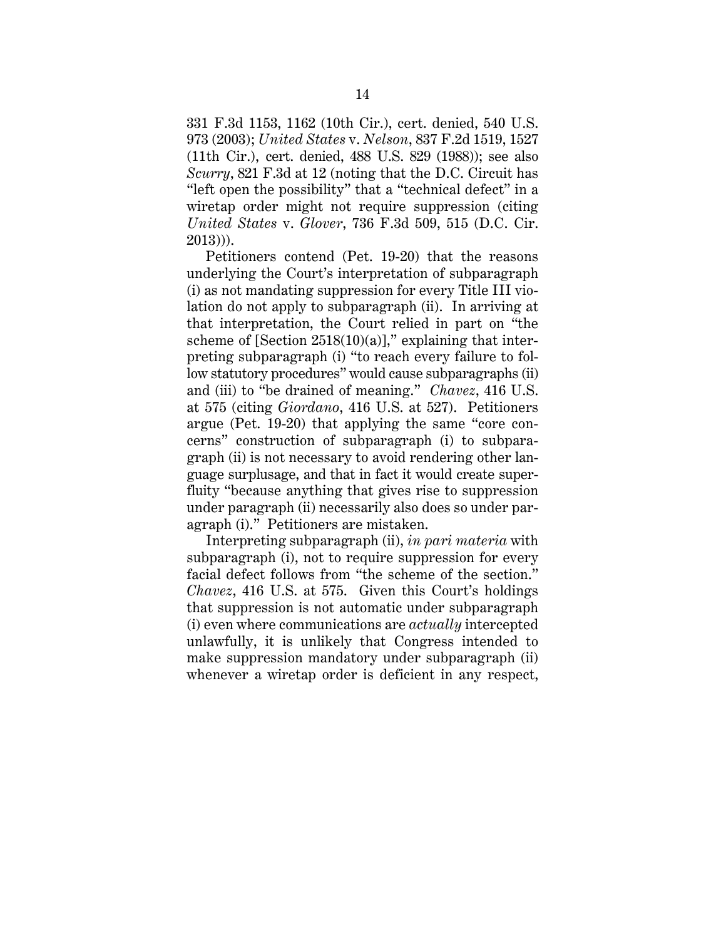331 F.3d 1153, 1162 (10th Cir.), cert. denied, 540 U.S. 973 (2003); *United States* v. *Nelson*, 837 F.2d 1519, 1527 (11th Cir.), cert. denied, 488 U.S. 829 (1988)); see also *Scurry*, 821 F.3d at 12 (noting that the D.C. Circuit has "left open the possibility" that a "technical defect" in a wiretap order might not require suppression (citing *United States* v. *Glover*, 736 F.3d 509, 515 (D.C. Cir. 2013))).

Petitioners contend (Pet. 19-20) that the reasons underlying the Court's interpretation of subparagraph (i) as not mandating suppression for every Title III violation do not apply to subparagraph (ii). In arriving at that interpretation, the Court relied in part on "the scheme of [Section  $2518(10)(a)$ ]," explaining that interpreting subparagraph (i) "to reach every failure to follow statutory procedures" would cause subparagraphs (ii) and (iii) to "be drained of meaning." *Chavez*, 416 U.S. at 575 (citing *Giordano*, 416 U.S. at 527). Petitioners argue (Pet. 19-20) that applying the same "core concerns" construction of subparagraph (i) to subparagraph (ii) is not necessary to avoid rendering other language surplusage, and that in fact it would create superfluity "because anything that gives rise to suppression under paragraph (ii) necessarily also does so under paragraph (i)." Petitioners are mistaken.

Interpreting subparagraph (ii), *in pari materia* with subparagraph (i), not to require suppression for every facial defect follows from "the scheme of the section." *Chavez*, 416 U.S. at 575. Given this Court's holdings that suppression is not automatic under subparagraph (i) even where communications are *actually* intercepted unlawfully, it is unlikely that Congress intended to make suppression mandatory under subparagraph (ii) whenever a wiretap order is deficient in any respect,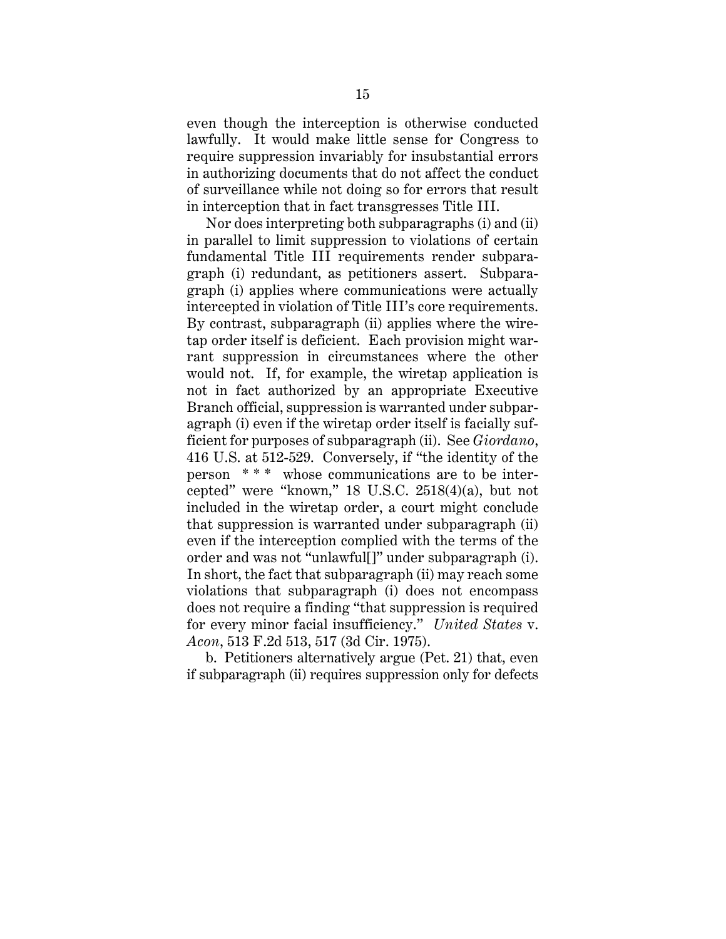even though the interception is otherwise conducted lawfully. It would make little sense for Congress to require suppression invariably for insubstantial errors in authorizing documents that do not affect the conduct of surveillance while not doing so for errors that result in interception that in fact transgresses Title III.

Nor does interpreting both subparagraphs (i) and (ii) in parallel to limit suppression to violations of certain fundamental Title III requirements render subparagraph (i) redundant, as petitioners assert. Subparagraph (i) applies where communications were actually intercepted in violation of Title III's core requirements. By contrast, subparagraph (ii) applies where the wiretap order itself is deficient. Each provision might warrant suppression in circumstances where the other would not. If, for example, the wiretap application is not in fact authorized by an appropriate Executive Branch official, suppression is warranted under subparagraph (i) even if the wiretap order itself is facially sufficient for purposes of subparagraph (ii). See *Giordano*, 416 U.S. at 512-529. Conversely, if "the identity of the person \* \* \* whose communications are to be intercepted" were "known," 18 U.S.C. 2518(4)(a), but not included in the wiretap order, a court might conclude that suppression is warranted under subparagraph (ii) even if the interception complied with the terms of the order and was not "unlawful[]" under subparagraph (i). In short, the fact that subparagraph (ii) may reach some violations that subparagraph (i) does not encompass does not require a finding "that suppression is required for every minor facial insufficiency." *United States* v. *Acon*, 513 F.2d 513, 517 (3d Cir. 1975).

b. Petitioners alternatively argue (Pet. 21) that, even if subparagraph (ii) requires suppression only for defects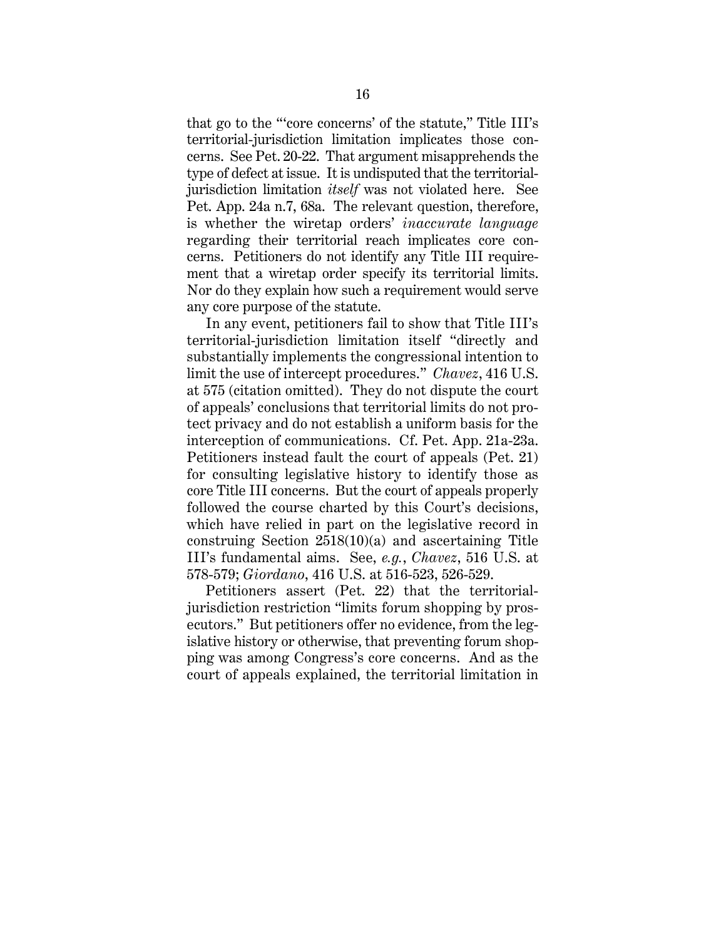that go to the "'core concerns' of the statute," Title III's territorial-jurisdiction limitation implicates those concerns. See Pet. 20-22. That argument misapprehends the type of defect at issue. It is undisputed that the territorialjurisdiction limitation *itself* was not violated here. See Pet. App. 24a n.7, 68a. The relevant question, therefore, is whether the wiretap orders' *inaccurate language* regarding their territorial reach implicates core concerns. Petitioners do not identify any Title III requirement that a wiretap order specify its territorial limits. Nor do they explain how such a requirement would serve any core purpose of the statute.

In any event, petitioners fail to show that Title III's territorial-jurisdiction limitation itself "directly and substantially implements the congressional intention to limit the use of intercept procedures." *Chavez*, 416 U.S. at 575 (citation omitted). They do not dispute the court of appeals' conclusions that territorial limits do not protect privacy and do not establish a uniform basis for the interception of communications. Cf. Pet. App. 21a-23a. Petitioners instead fault the court of appeals (Pet. 21) for consulting legislative history to identify those as core Title III concerns. But the court of appeals properly followed the course charted by this Court's decisions, which have relied in part on the legislative record in construing Section 2518(10)(a) and ascertaining Title III's fundamental aims. See, *e.g.*, *Chavez*, 516 U.S. at 578-579; *Giordano*, 416 U.S. at 516-523, 526-529.

Petitioners assert (Pet. 22) that the territorialjurisdiction restriction "limits forum shopping by prosecutors." But petitioners offer no evidence, from the legislative history or otherwise, that preventing forum shopping was among Congress's core concerns. And as the court of appeals explained, the territorial limitation in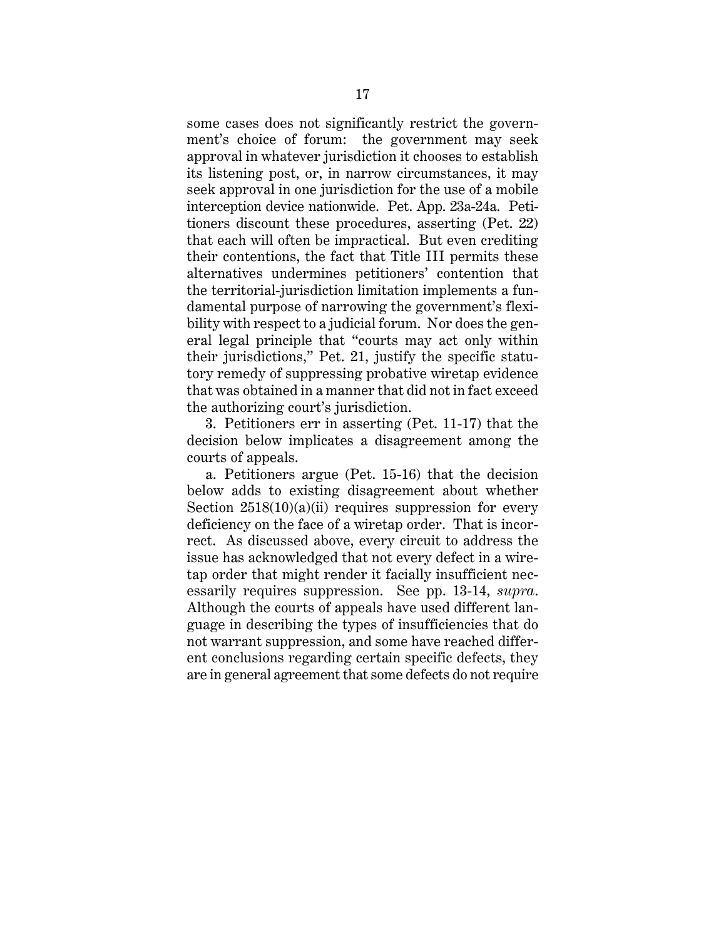some cases does not significantly restrict the government's choice of forum: the government may seek approval in whatever jurisdiction it chooses to establish its listening post, or, in narrow circumstances, it may seek approval in one jurisdiction for the use of a mobile interception device nationwide. Pet. App. 23a-24a. Petitioners discount these procedures, asserting (Pet. 22) that each will often be impractical. But even crediting their contentions, the fact that Title III permits these alternatives undermines petitioners' contention that the territorial-jurisdiction limitation implements a fundamental purpose of narrowing the government's flexibility with respect to a judicial forum. Nor does the general legal principle that "courts may act only within their jurisdictions," Pet. 21, justify the specific statutory remedy of suppressing probative wiretap evidence that was obtained in a manner that did not in fact exceed the authorizing court's jurisdiction.

3. Petitioners err in asserting (Pet. 11-17) that the decision below implicates a disagreement among the courts of appeals.

a. Petitioners argue (Pet. 15-16) that the decision below adds to existing disagreement about whether Section  $2518(10)(a)(ii)$  requires suppression for every deficiency on the face of a wiretap order. That is incorrect. As discussed above, every circuit to address the issue has acknowledged that not every defect in a wiretap order that might render it facially insufficient necessarily requires suppression. See pp. 13-14, *supra*. Although the courts of appeals have used different language in describing the types of insufficiencies that do not warrant suppression, and some have reached different conclusions regarding certain specific defects, they are in general agreement that some defects do not require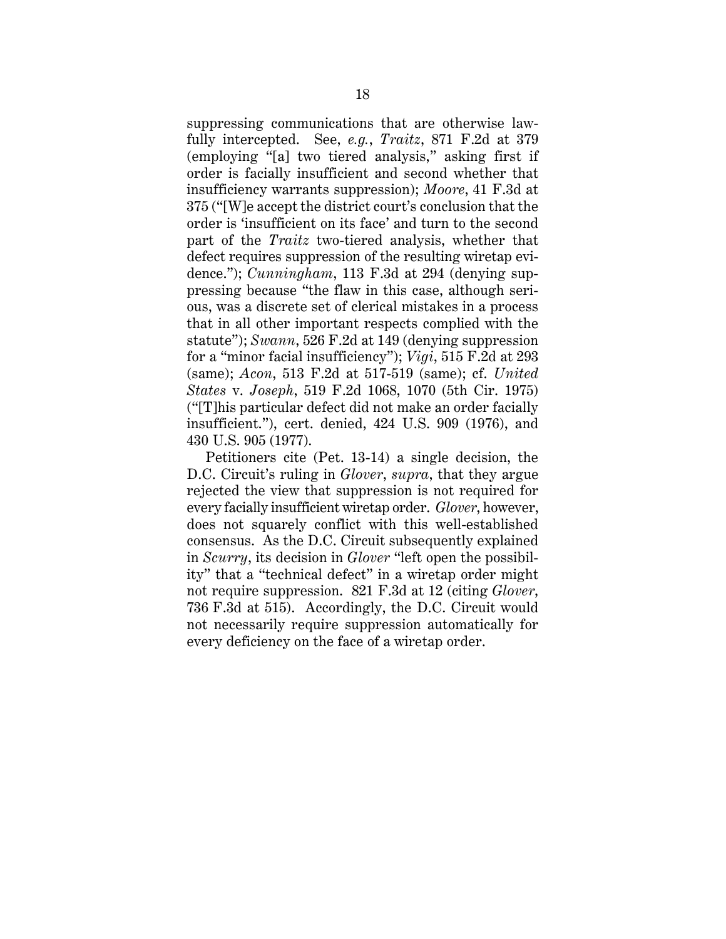suppressing communications that are otherwise lawfully intercepted. See, *e.g.*, *Traitz*, 871 F.2d at 379 (employing "[a] two tiered analysis," asking first if order is facially insufficient and second whether that insufficiency warrants suppression); *Moore*, 41 F.3d at 375 ("[W]e accept the district court's conclusion that the order is 'insufficient on its face' and turn to the second part of the *Traitz* two-tiered analysis, whether that defect requires suppression of the resulting wiretap evidence."); *Cunningham*, 113 F.3d at 294 (denying suppressing because "the flaw in this case, although serious, was a discrete set of clerical mistakes in a process that in all other important respects complied with the statute"); *Swann*, 526 F.2d at 149 (denying suppression for a "minor facial insufficiency"); *Vigi*, 515 F.2d at 293 (same); *Acon*, 513 F.2d at 517-519 (same); cf. *United States* v. *Joseph*, 519 F.2d 1068, 1070 (5th Cir. 1975) ("[T]his particular defect did not make an order facially insufficient."), cert. denied, 424 U.S. 909 (1976), and 430 U.S. 905 (1977).

Petitioners cite (Pet. 13-14) a single decision, the D.C. Circuit's ruling in *Glover*, *supra*, that they argue rejected the view that suppression is not required for every facially insufficient wiretap order. *Glover*, however, does not squarely conflict with this well-established consensus. As the D.C. Circuit subsequently explained in *Scurry*, its decision in *Glover* "left open the possibility" that a "technical defect" in a wiretap order might not require suppression. 821 F.3d at 12 (citing *Glover*, 736 F.3d at 515). Accordingly, the D.C. Circuit would not necessarily require suppression automatically for every deficiency on the face of a wiretap order.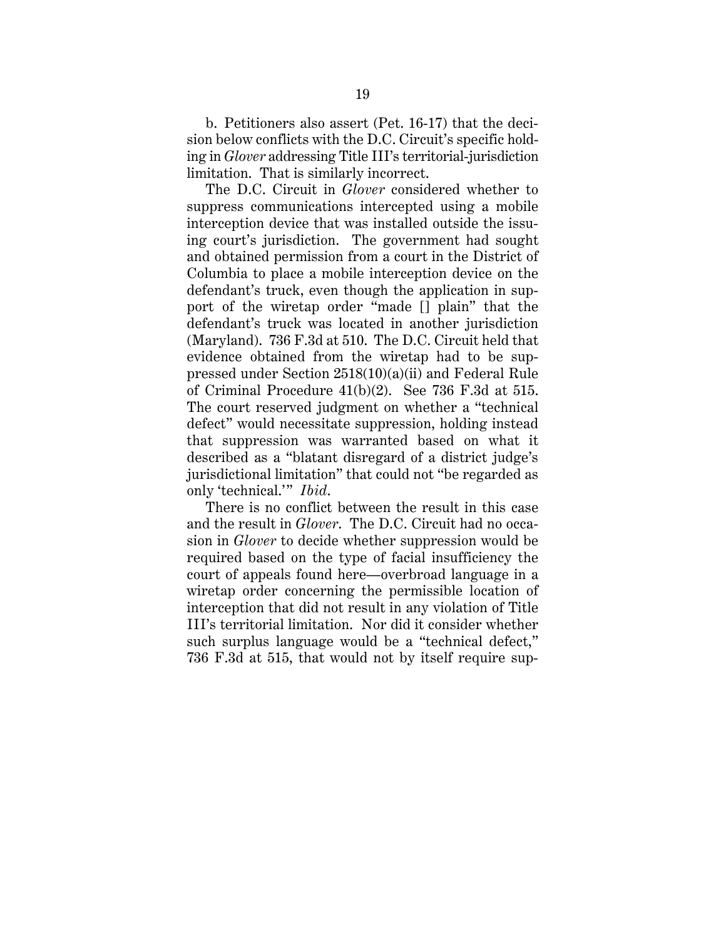b. Petitioners also assert (Pet. 16-17) that the decision below conflicts with the D.C. Circuit's specific holding in *Glover* addressing Title III's territorial-jurisdiction limitation. That is similarly incorrect.

The D.C. Circuit in *Glover* considered whether to suppress communications intercepted using a mobile interception device that was installed outside the issuing court's jurisdiction. The government had sought and obtained permission from a court in the District of Columbia to place a mobile interception device on the defendant's truck, even though the application in support of the wiretap order "made [] plain" that the defendant's truck was located in another jurisdiction (Maryland). 736 F.3d at 510. The D.C. Circuit held that evidence obtained from the wiretap had to be suppressed under Section 2518(10)(a)(ii) and Federal Rule of Criminal Procedure 41(b)(2). See 736 F.3d at 515. The court reserved judgment on whether a "technical defect" would necessitate suppression, holding instead that suppression was warranted based on what it described as a "blatant disregard of a district judge's jurisdictional limitation" that could not "be regarded as only 'technical.'" *Ibid*.

There is no conflict between the result in this case and the result in *Glover*. The D.C. Circuit had no occasion in *Glover* to decide whether suppression would be required based on the type of facial insufficiency the court of appeals found here—overbroad language in a wiretap order concerning the permissible location of interception that did not result in any violation of Title III's territorial limitation. Nor did it consider whether such surplus language would be a "technical defect," 736 F.3d at 515, that would not by itself require sup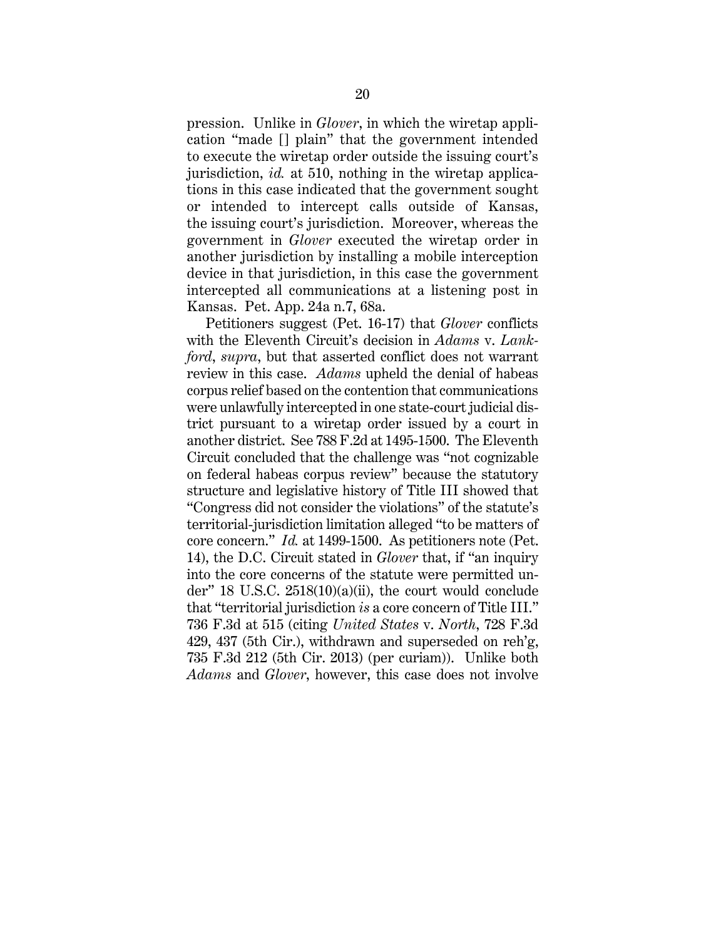pression. Unlike in *Glover*, in which the wiretap application "made [] plain" that the government intended to execute the wiretap order outside the issuing court's jurisdiction, *id.* at 510, nothing in the wiretap applications in this case indicated that the government sought or intended to intercept calls outside of Kansas, the issuing court's jurisdiction. Moreover, whereas the government in *Glover* executed the wiretap order in another jurisdiction by installing a mobile interception device in that jurisdiction, in this case the government intercepted all communications at a listening post in Kansas. Pet. App. 24a n.7, 68a.

Petitioners suggest (Pet. 16-17) that *Glover* conflicts with the Eleventh Circuit's decision in *Adams* v. *Lankford*, *supra*, but that asserted conflict does not warrant review in this case. *Adams* upheld the denial of habeas corpus relief based on the contention that communications were unlawfully intercepted in one state-court judicial district pursuant to a wiretap order issued by a court in another district. See 788 F.2d at 1495-1500. The Eleventh Circuit concluded that the challenge was "not cognizable on federal habeas corpus review" because the statutory structure and legislative history of Title III showed that "Congress did not consider the violations" of the statute's territorial-jurisdiction limitation alleged "to be matters of core concern." *Id.* at 1499-1500. As petitioners note (Pet. 14), the D.C. Circuit stated in *Glover* that, if "an inquiry into the core concerns of the statute were permitted under" 18 U.S.C. 2518(10)(a)(ii), the court would conclude that "territorial jurisdiction *is* a core concern of Title III." 736 F.3d at 515 (citing *United States* v. *North*, 728 F.3d 429, 437 (5th Cir.), withdrawn and superseded on reh'g, 735 F.3d 212 (5th Cir. 2013) (per curiam)). Unlike both *Adams* and *Glover*, however, this case does not involve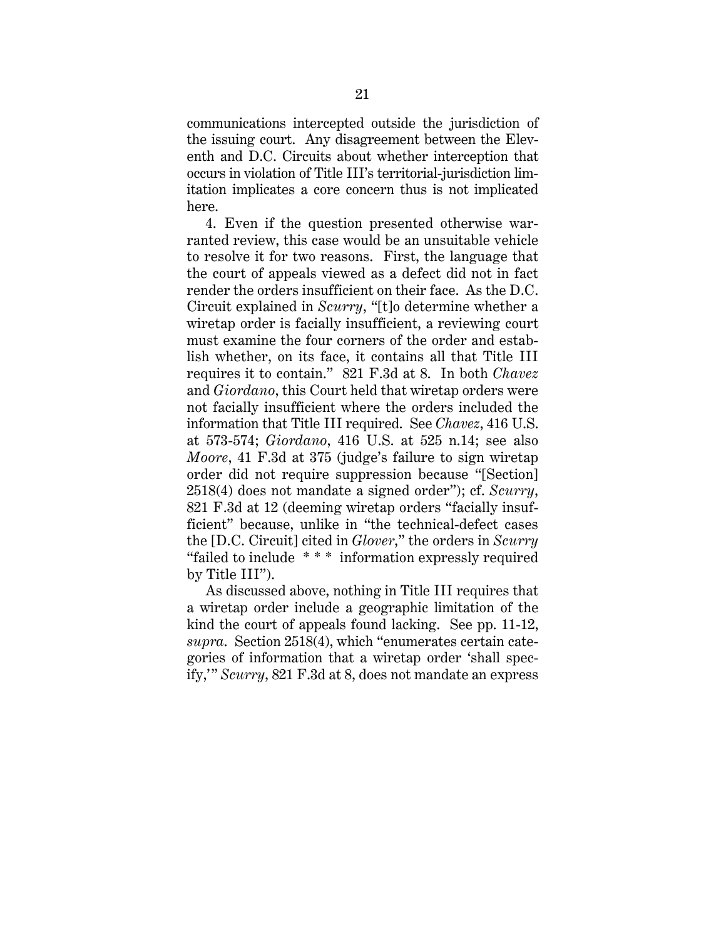communications intercepted outside the jurisdiction of the issuing court. Any disagreement between the Eleventh and D.C. Circuits about whether interception that occurs in violation of Title III's territorial-jurisdiction limitation implicates a core concern thus is not implicated here.

4. Even if the question presented otherwise warranted review, this case would be an unsuitable vehicle to resolve it for two reasons. First, the language that the court of appeals viewed as a defect did not in fact render the orders insufficient on their face. As the D.C. Circuit explained in *Scurry*, "[t]o determine whether a wiretap order is facially insufficient, a reviewing court must examine the four corners of the order and establish whether, on its face, it contains all that Title III requires it to contain." 821 F.3d at 8. In both *Chavez* and *Giordano*, this Court held that wiretap orders were not facially insufficient where the orders included the information that Title III required. See *Chavez*, 416 U.S. at 573-574; *Giordano*, 416 U.S. at 525 n.14; see also *Moore*, 41 F.3d at 375 (judge's failure to sign wiretap order did not require suppression because "[Section] 2518(4) does not mandate a signed order"); cf. *Scurry*, 821 F.3d at 12 (deeming wiretap orders "facially insufficient" because, unlike in "the technical-defect cases the [D.C. Circuit] cited in *Glover*," the orders in *Scurry*  "failed to include \* \* \* information expressly required by Title III").

As discussed above, nothing in Title III requires that a wiretap order include a geographic limitation of the kind the court of appeals found lacking. See pp. 11-12, *supra*. Section 2518(4), which "enumerates certain categories of information that a wiretap order 'shall specify,'" *Scurry*, 821 F.3d at 8, does not mandate an express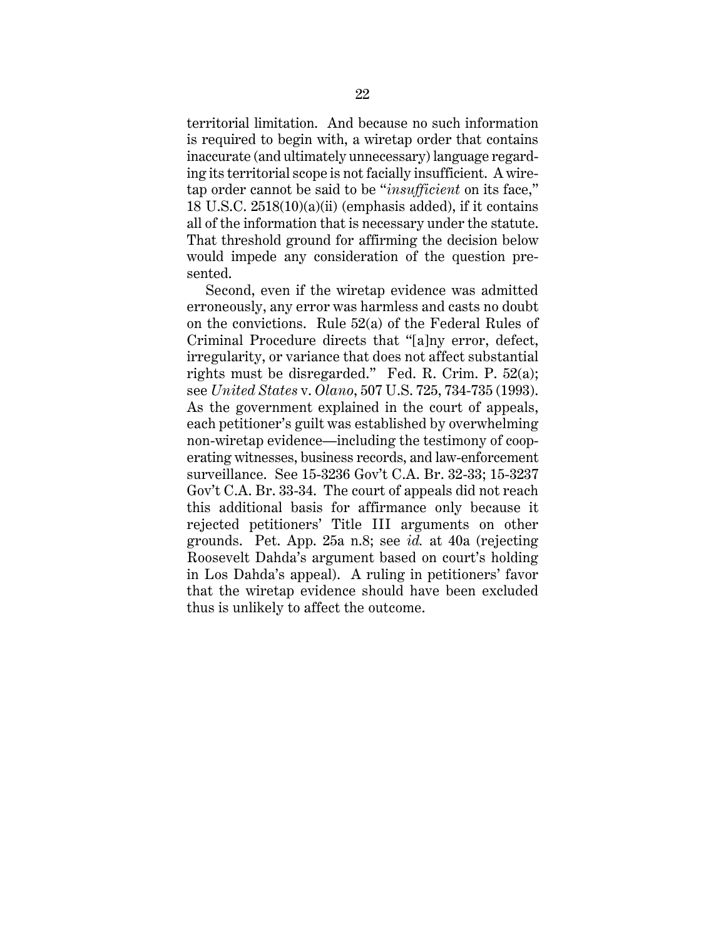territorial limitation. And because no such information is required to begin with, a wiretap order that contains inaccurate (and ultimately unnecessary) language regarding its territorial scope is not facially insufficient. A wiretap order cannot be said to be "*insufficient* on its face," 18 U.S.C. 2518(10)(a)(ii) (emphasis added), if it contains all of the information that is necessary under the statute. That threshold ground for affirming the decision below would impede any consideration of the question presented.

Second, even if the wiretap evidence was admitted erroneously, any error was harmless and casts no doubt on the convictions. Rule 52(a) of the Federal Rules of Criminal Procedure directs that "[a]ny error, defect, irregularity, or variance that does not affect substantial rights must be disregarded." Fed. R. Crim. P. 52(a); see *United States* v. *Olano*, 507 U.S. 725, 734-735 (1993). As the government explained in the court of appeals, each petitioner's guilt was established by overwhelming non-wiretap evidence—including the testimony of cooperating witnesses, business records, and law-enforcement surveillance. See 15-3236 Gov't C.A. Br. 32-33; 15-3237 Gov't C.A. Br. 33-34. The court of appeals did not reach this additional basis for affirmance only because it rejected petitioners' Title III arguments on other grounds. Pet. App. 25a n.8; see *id.* at 40a (rejecting Roosevelt Dahda's argument based on court's holding in Los Dahda's appeal). A ruling in petitioners' favor that the wiretap evidence should have been excluded thus is unlikely to affect the outcome.